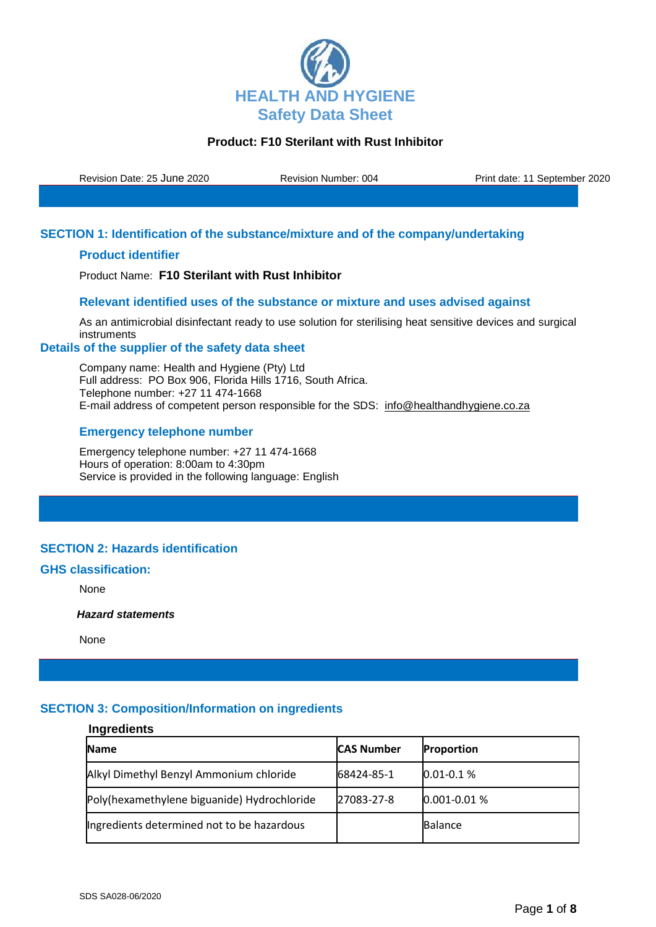

Revision Date: 25 June 2020 Revision Number: 004 Print date: 11 September 2020

## **SECTION 1: Identification of the substance/mixture and of the company/undertaking**

### **Product identifier**

Product Name: **F10 Sterilant with Rust Inhibitor**

# **Relevant identified uses of the substance or mixture and uses advised against**

As an antimicrobial disinfectant ready to use solution for sterilising heat sensitive devices and surgical instruments

### **Details of the supplier of the safety data sheet**

Company name: Health and Hygiene (Pty) Ltd Full address: PO Box 906, Florida Hills 1716, South Africa. Telephone number: +27 11 474-1668 E-mail address of competent person responsible for the SDS: info@healthandhygiene.co.za

### **Emergency telephone number**

Emergency telephone number: +27 11 474-1668 Hours of operation: 8:00am to 4:30pm Service is provided in the following language: English

## **SECTION 2: Hazards identification**

### **GHS classification:**

None

 *Hazard statements* 

None

### **SECTION 3: Composition/Information on ingredients**

## **Ingredients**

| <b>Name</b>                                 | <b>CAS Number</b> | Proportion       |
|---------------------------------------------|-------------------|------------------|
| Alkyl Dimethyl Benzyl Ammonium chloride     | 68424-85-1        | $0.01 - 0.1 %$   |
| Poly(hexamethylene biguanide) Hydrochloride | 27083-27-8        | $0.001 - 0.01 %$ |
| Ingredients determined not to be hazardous  |                   | <b>Balance</b>   |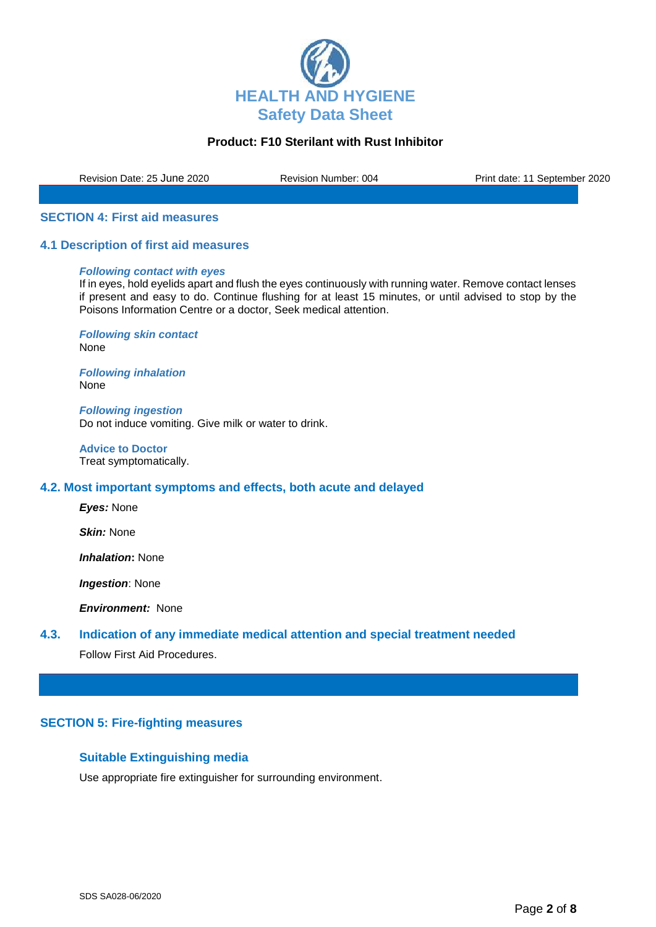

Revision Date: 25 June 2020 Revision Number: 004 Print date: 11 September 2020

#### **SECTION 4: First aid measures**

#### **4.1 Description of first aid measures**

#### *Following contact with eyes*

If in eyes, hold eyelids apart and flush the eyes continuously with running water. Remove contact lenses if present and easy to do. Continue flushing for at least 15 minutes, or until advised to stop by the Poisons Information Centre or a doctor, Seek medical attention.

*Following skin contact* None

*Following inhalation* None

*Following ingestion* Do not induce vomiting. Give milk or water to drink.

**Advice to Doctor** Treat symptomatically.

### **4.2. Most important symptoms and effects, both acute and delayed**

*Eyes:* None

*Skin:* None

*Inhalation***:** None

*Ingestion*: None

*Environment:* None

## **4.3. Indication of any immediate medical attention and special treatment needed**

Follow First Aid Procedures.

### **SECTION 5: Fire-fighting measures**

### **Suitable Extinguishing media**

Use appropriate fire extinguisher for surrounding environment.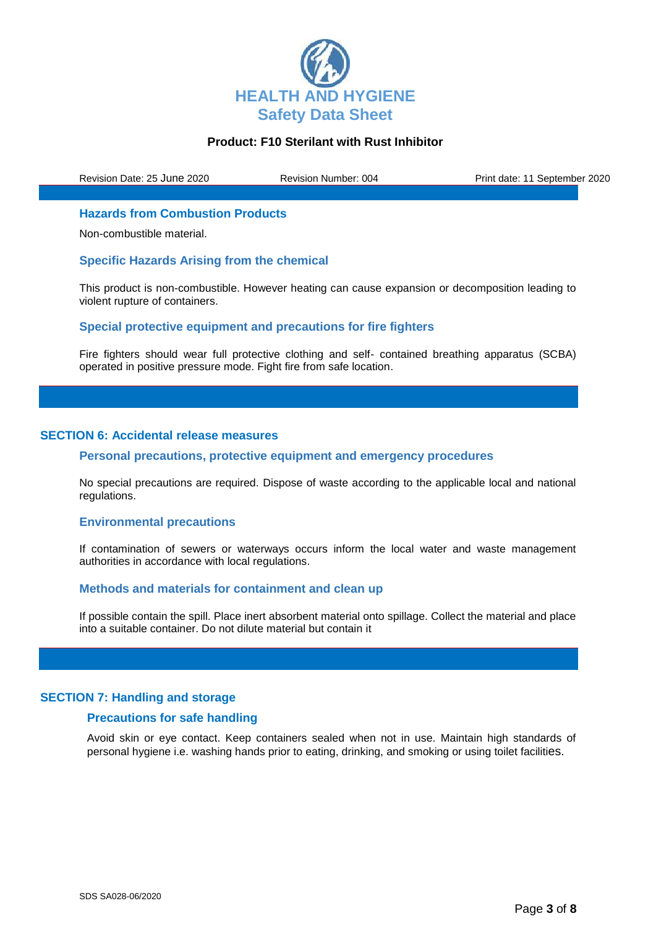

Revision Date: 25 June 2020 Revision Number: 004 Print date: 11 September 2020

### **Hazards from Combustion Products**

Non-combustible material.

### **Specific Hazards Arising from the chemical**

This product is non-combustible. However heating can cause expansion or decomposition leading to violent rupture of containers.

## **Special protective equipment and precautions for fire fighters**

Fire fighters should wear full protective clothing and self- contained breathing apparatus (SCBA) operated in positive pressure mode. Fight fire from safe location.

### **SECTION 6: Accidental release measures**

## **Personal precautions, protective equipment and emergency procedures**

No special precautions are required. Dispose of waste according to the applicable local and national regulations.

#### **Environmental precautions**

If contamination of sewers or waterways occurs inform the local water and waste management authorities in accordance with local regulations.

#### **Methods and materials for containment and clean up**

If possible contain the spill. Place inert absorbent material onto spillage. Collect the material and place into a suitable container. Do not dilute material but contain it

#### **SECTION 7: Handling and storage**

### **Precautions for safe handling**

Avoid skin or eye contact. Keep containers sealed when not in use. Maintain high standards of personal hygiene i.e. washing hands prior to eating, drinking, and smoking or using toilet facilities.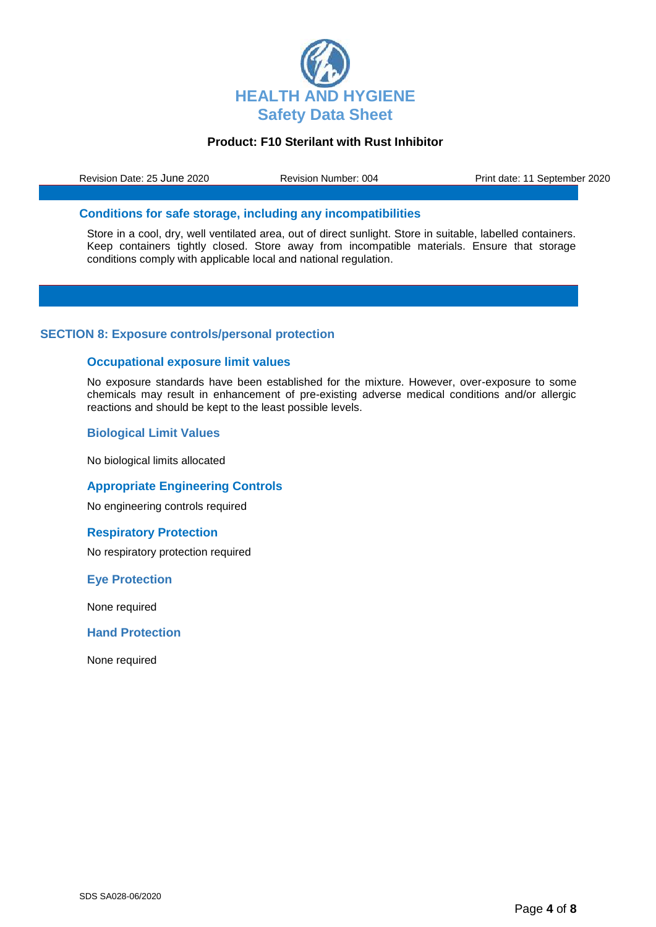

Revision Date: 25 June 2020 Revision Number: 004 Print date: 11 September 2020

### **Conditions for safe storage, including any incompatibilities**

Store in a cool, dry, well ventilated area, out of direct sunlight. Store in suitable, labelled containers. Keep containers tightly closed. Store away from incompatible materials. Ensure that storage conditions comply with applicable local and national regulation.

### **SECTION 8: Exposure controls/personal protection**

### **Occupational exposure limit values**

No exposure standards have been established for the mixture. However, over-exposure to some chemicals may result in enhancement of pre-existing adverse medical conditions and/or allergic reactions and should be kept to the least possible levels.

### **Biological Limit Values**

No biological limits allocated

#### **Appropriate Engineering Controls**

No engineering controls required

#### **Respiratory Protection**

No respiratory protection required

#### **Eye Protection**

None required

#### **Hand Protection**

None required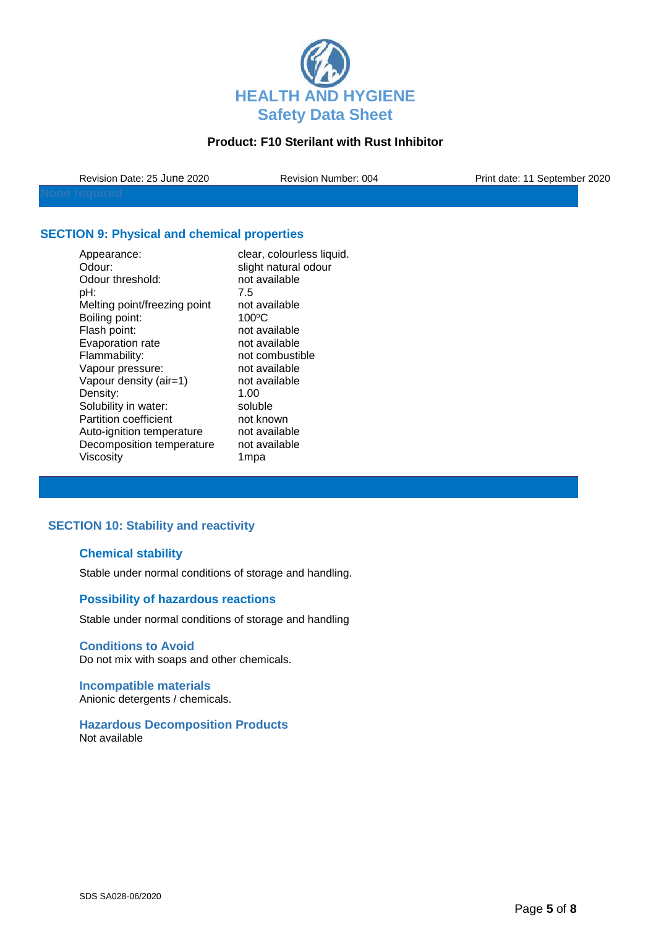

| Revision Date: 25 June 2020 | <b>Revision Number: 004</b> | Print date: 11 September 2020 |
|-----------------------------|-----------------------------|-------------------------------|
|                             |                             |                               |

## **SECTION 9: Physical and chemical properties**

| clear, colourless liquid. |
|---------------------------|
| slight natural odour      |
| not available             |
| 7.5                       |
| not available             |
| $100^{\circ}$ C           |
| not available             |
| not available             |
| not combustible           |
| not available             |
| not available             |
| 1.00                      |
| soluble                   |
| not known                 |
| not available             |
| not available             |
| 1mpa                      |
|                           |

## **SECTION 10: Stability and reactivity**

## **Chemical stability**

Stable under normal conditions of storage and handling.

## **Possibility of hazardous reactions**

Stable under normal conditions of storage and handling

## **Conditions to Avoid**

Do not mix with soaps and other chemicals.

**Incompatible materials** Anionic detergents / chemicals.

**Hazardous Decomposition Products** Not available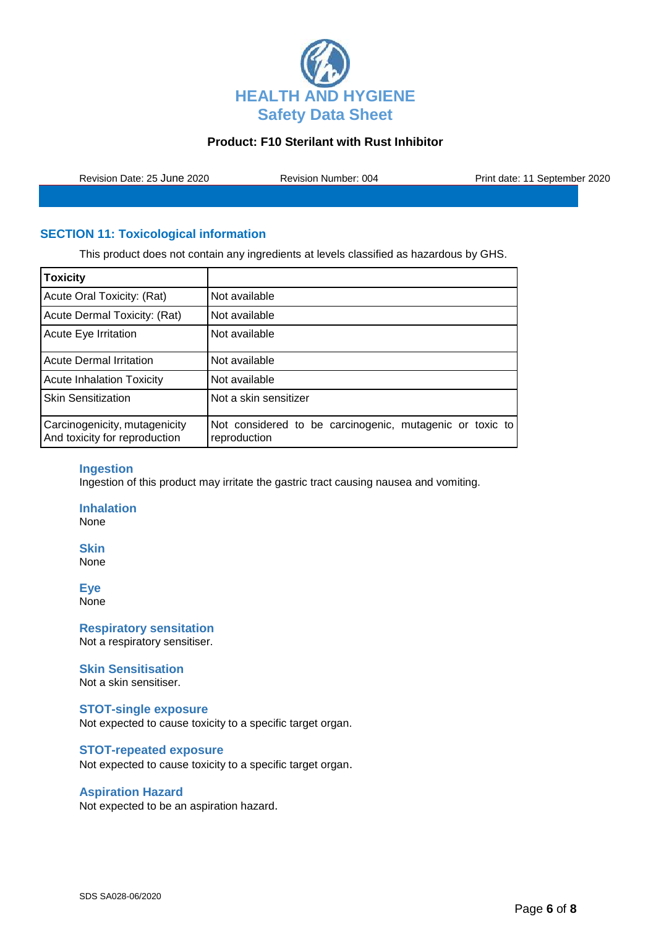

Revision Date: 25 June 2020 Revision Number: 004 Print date: 11 September 2020

# **SECTION 11: Toxicological information**

This product does not contain any ingredients at levels classified as hazardous by GHS.

| <b>Toxicity</b>                                                |                                                                          |
|----------------------------------------------------------------|--------------------------------------------------------------------------|
| Acute Oral Toxicity: (Rat)                                     | Not available                                                            |
| Acute Dermal Toxicity: (Rat)                                   | Not available                                                            |
| <b>Acute Eye Irritation</b>                                    | Not available                                                            |
| <b>Acute Dermal Irritation</b>                                 | Not available                                                            |
| <b>Acute Inhalation Toxicity</b>                               | Not available                                                            |
| <b>Skin Sensitization</b>                                      | Not a skin sensitizer                                                    |
| Carcinogenicity, mutagenicity<br>And toxicity for reproduction | Not considered to be carcinogenic, mutagenic or toxic to<br>reproduction |

### **Ingestion**

Ingestion of this product may irritate the gastric tract causing nausea and vomiting.

**Inhalation**

None

**Skin** None

**Eye**

None

**Respiratory sensitation** Not a respiratory sensitiser.

#### **Skin Sensitisation**

Not a skin sensitiser.

#### **STOT-single exposure**

Not expected to cause toxicity to a specific target organ.

#### **STOT-repeated exposure**

Not expected to cause toxicity to a specific target organ.

#### **Aspiration Hazard**

Not expected to be an aspiration hazard.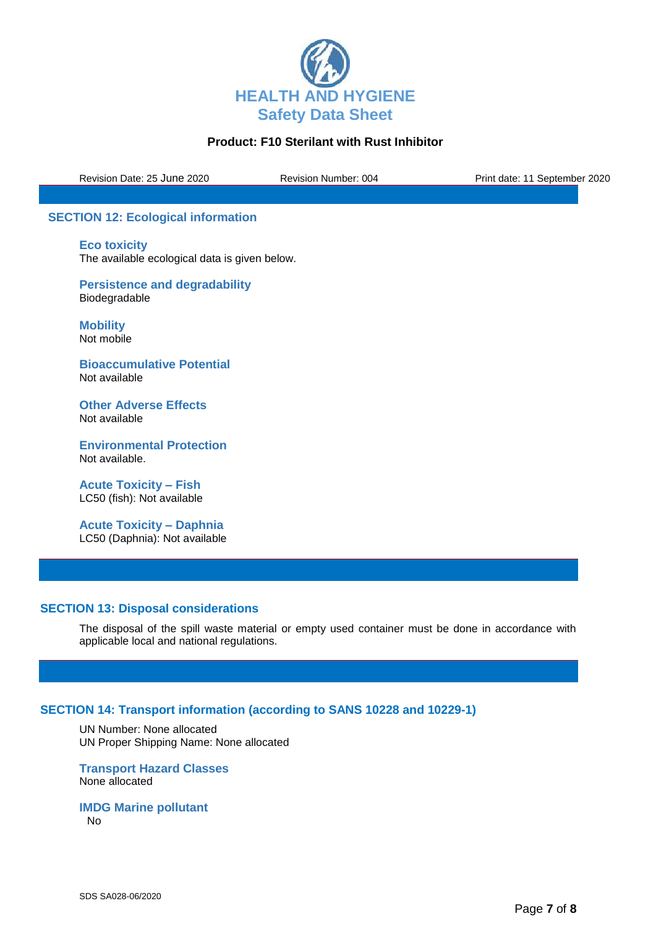

Revision Date: 25 June 2020 Revision Number: 004 Print date: 11 September 2020

## **SECTION 12: Ecological information**

**Eco toxicity** The available ecological data is given below.

**Persistence and degradability** Biodegradable

**Mobility** Not mobile

**Bioaccumulative Potential** Not available

**Other Adverse Effects** Not available

**Environmental Protection** Not available.

**Acute Toxicity – Fish** LC50 (fish): Not available

**Acute Toxicity – Daphnia** LC50 (Daphnia): Not available

### **SECTION 13: Disposal considerations**

The disposal of the spill waste material or empty used container must be done in accordance with applicable local and national regulations.

### **SECTION 14: Transport information (according to SANS 10228 and 10229-1)**

UN Number: None allocated UN Proper Shipping Name: None allocated

**Transport Hazard Classes** None allocated

**IMDG Marine pollutant** No